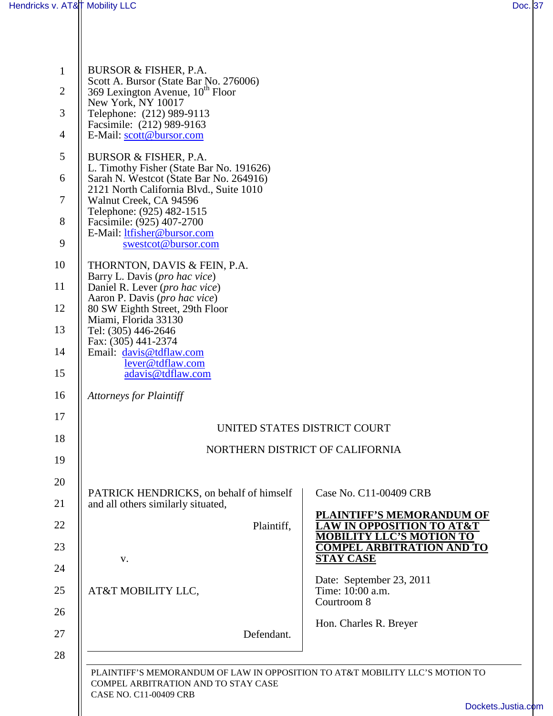|  | BURSOR & FISHER, P.A.<br>Scott A. Bursor (State Bar No. 276006)                                                   |                                                                     |  |  |  |
|--|-------------------------------------------------------------------------------------------------------------------|---------------------------------------------------------------------|--|--|--|
|  | 369 Lexington Avenue, 10 <sup>th</sup> Floor<br>New York, NY 10017                                                |                                                                     |  |  |  |
|  | Telephone: (212) 989-9113                                                                                         |                                                                     |  |  |  |
|  | Facsimile: (212) 989-9163<br>E-Mail: scott@bursor.com                                                             |                                                                     |  |  |  |
|  | BURSOR & FISHER, P.A.                                                                                             |                                                                     |  |  |  |
|  | L. Timothy Fisher (State Bar No. 191626)<br>Sarah N. Westcot (State Bar No. 264916)                               |                                                                     |  |  |  |
|  | 2121 North California Blvd., Suite 1010<br>Walnut Creek, CA 94596                                                 |                                                                     |  |  |  |
|  | Telephone: (925) 482-1515<br>Facsimile: (925) 407-2700                                                            |                                                                     |  |  |  |
|  | E-Mail: ltfisher@bursor.com<br>swestcot@bursor.com                                                                |                                                                     |  |  |  |
|  | THORNTON, DAVIS & FEIN, P.A.                                                                                      |                                                                     |  |  |  |
|  | Barry L. Davis (pro hac vice)<br>Daniel R. Lever ( <i>pro hac vice</i> )                                          |                                                                     |  |  |  |
|  | Aaron P. Davis (pro hac vice)<br>80 SW Eighth Street, 29th Floor                                                  |                                                                     |  |  |  |
|  | Miami, Florida 33130<br>Tel: (305) 446-2646<br>Fax: (305) 441-2374<br>Email: davis@tdflaw.com<br>lever@tdflaw.com |                                                                     |  |  |  |
|  |                                                                                                                   |                                                                     |  |  |  |
|  | adavis@tdflaw.com                                                                                                 |                                                                     |  |  |  |
|  | <b>Attorneys for Plaintiff</b>                                                                                    |                                                                     |  |  |  |
|  | UNITED STATES DISTRICT COURT                                                                                      |                                                                     |  |  |  |
|  | NORTHERN DISTRICT OF CALIFORNIA                                                                                   |                                                                     |  |  |  |
|  |                                                                                                                   |                                                                     |  |  |  |
|  | PATRICK HENDRICKS, on behalf of himself<br>and all others similarly situated,                                     | Case No. C11-00409 CRB                                              |  |  |  |
|  | Plaintiff,                                                                                                        | <b>PLAINTIFF'S MEMORANDUM OF</b><br><b>OPPOSITION TO AT&amp;T</b>   |  |  |  |
|  |                                                                                                                   | <b>MOBILITY LLC'S MOTION TO</b><br><b>COMPEL ARBITRATION AND TO</b> |  |  |  |
|  | V.                                                                                                                | <b>STAY CASE</b>                                                    |  |  |  |
|  | AT&T MOBILITY LLC,                                                                                                | Date: September 23, 2011<br>Time: 10:00 a.m.<br>Courtroom 8         |  |  |  |
|  |                                                                                                                   |                                                                     |  |  |  |
|  | Defendant.                                                                                                        | Hon. Charles R. Breyer                                              |  |  |  |
|  |                                                                                                                   |                                                                     |  |  |  |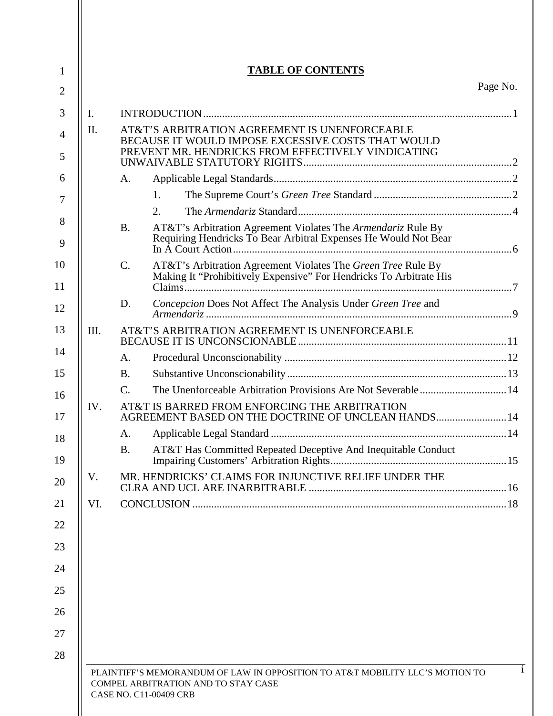| I.   |                                                                                                                                                           | Page No. |
|------|-----------------------------------------------------------------------------------------------------------------------------------------------------------|----------|
|      |                                                                                                                                                           |          |
| II.  | AT&T'S ARBITRATION AGREEMENT IS UNENFORCEABLE<br>BECAUSE IT WOULD IMPOSE EXCESSIVE COSTS THAT WOULD<br>PREVENT MR. HENDRICKS FROM EFFECTIVELY VINDICATING |          |
|      |                                                                                                                                                           |          |
|      | A.                                                                                                                                                        |          |
|      | 1.                                                                                                                                                        |          |
|      | 2.                                                                                                                                                        |          |
|      | AT&T's Arbitration Agreement Violates The Armendariz Rule By<br><b>B.</b><br>Requiring Hendricks To Bear Arbitral Expenses He Would Not Bear              |          |
|      | $\mathcal{C}$ .<br>AT&T's Arbitration Agreement Violates The Green Tree Rule By<br>Making It "Prohibitively Expensive" For Hendricks To Arbitrate His     |          |
|      | Concepcion Does Not Affect The Analysis Under Green Tree and<br>D.                                                                                        |          |
| III. | AT&T'S ARBITRATION AGREEMENT IS UNENFORCEABLE                                                                                                             |          |
|      | A.                                                                                                                                                        |          |
|      | <b>B.</b>                                                                                                                                                 |          |
|      | The Unenforceable Arbitration Provisions Are Not Severable 14<br>$\mathbf{C}$ .                                                                           |          |
| IV.  | AT&T IS BARRED FROM ENFORCING THE ARBITRATION<br>AGREEMENT BASED ON THE DOCTRINE OF UNCLEAN HANDS 14                                                      |          |
|      | A.                                                                                                                                                        |          |
|      | AT&T Has Committed Repeated Deceptive And Inequitable Conduct<br><b>B.</b>                                                                                |          |
| V.   | MR. HENDRICKS' CLAIMS FOR INJUNCTIVE RELIEF UNDER THE                                                                                                     |          |
| VI.  |                                                                                                                                                           |          |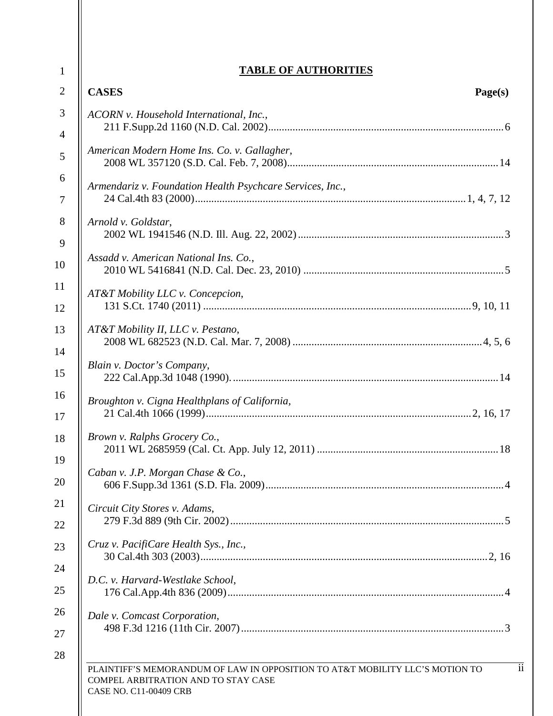| <b>CASES</b><br>Page(s)                                   |
|-----------------------------------------------------------|
| ACORN v. Household International, Inc.,                   |
| American Modern Home Ins. Co. v. Gallagher,               |
| Armendariz v. Foundation Health Psychcare Services, Inc., |
| Arnold v. Goldstar,                                       |
| Assadd v. American National Ins. Co.,                     |
| AT&T Mobility LLC v. Concepcion,                          |
| AT&T Mobility II, LLC v. Pestano,                         |
| Blain v. Doctor's Company,                                |
| Broughton v. Cigna Healthplans of California,             |
| Brown v. Ralphs Grocery Co.,<br>.18                       |
| Caban v. J.P. Morgan Chase & Co.,                         |
| Circuit City Stores v. Adams,                             |
| Cruz v. PacifiCare Health Sys., Inc.,                     |
| D.C. v. Harvard-Westlake School,                          |
| Dale v. Comcast Corporation,                              |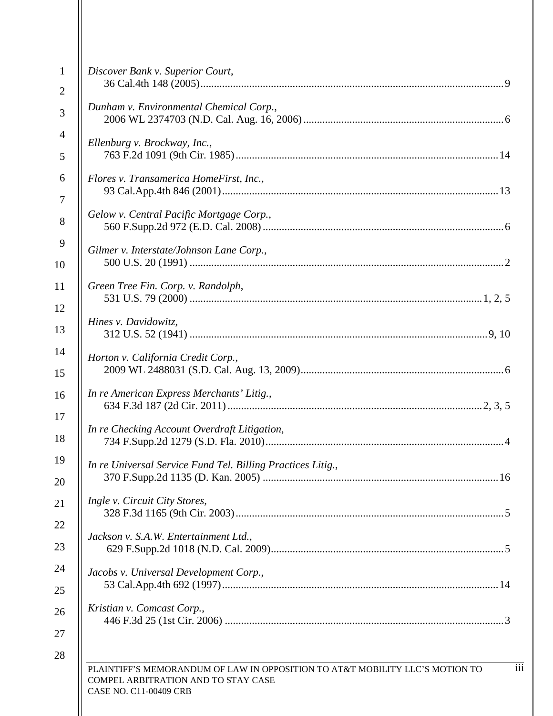| Discover Bank v. Superior Court,<br>Dunham v. Environmental Chemical Corp.,<br>Ellenburg v. Brockway, Inc.,<br>Flores v. Transamerica HomeFirst, Inc.,<br>Gelow v. Central Pacific Mortgage Corp.,<br>Gilmer v. Interstate/Johnson Lane Corp.,<br>Green Tree Fin. Corp. v. Randolph,<br>Hines v. Davidowitz,<br>Horton v. California Credit Corp.,<br>In re American Express Merchants' Litig.,<br>In re Checking Account Overdraft Litigation,<br>In re Universal Service Fund Tel. Billing Practices Litig., |     |
|----------------------------------------------------------------------------------------------------------------------------------------------------------------------------------------------------------------------------------------------------------------------------------------------------------------------------------------------------------------------------------------------------------------------------------------------------------------------------------------------------------------|-----|
|                                                                                                                                                                                                                                                                                                                                                                                                                                                                                                                |     |
|                                                                                                                                                                                                                                                                                                                                                                                                                                                                                                                |     |
|                                                                                                                                                                                                                                                                                                                                                                                                                                                                                                                |     |
|                                                                                                                                                                                                                                                                                                                                                                                                                                                                                                                |     |
|                                                                                                                                                                                                                                                                                                                                                                                                                                                                                                                |     |
|                                                                                                                                                                                                                                                                                                                                                                                                                                                                                                                |     |
|                                                                                                                                                                                                                                                                                                                                                                                                                                                                                                                |     |
|                                                                                                                                                                                                                                                                                                                                                                                                                                                                                                                |     |
|                                                                                                                                                                                                                                                                                                                                                                                                                                                                                                                |     |
|                                                                                                                                                                                                                                                                                                                                                                                                                                                                                                                |     |
|                                                                                                                                                                                                                                                                                                                                                                                                                                                                                                                |     |
|                                                                                                                                                                                                                                                                                                                                                                                                                                                                                                                |     |
|                                                                                                                                                                                                                                                                                                                                                                                                                                                                                                                |     |
|                                                                                                                                                                                                                                                                                                                                                                                                                                                                                                                |     |
|                                                                                                                                                                                                                                                                                                                                                                                                                                                                                                                |     |
|                                                                                                                                                                                                                                                                                                                                                                                                                                                                                                                |     |
|                                                                                                                                                                                                                                                                                                                                                                                                                                                                                                                |     |
|                                                                                                                                                                                                                                                                                                                                                                                                                                                                                                                |     |
| Ingle v. Circuit City Stores,                                                                                                                                                                                                                                                                                                                                                                                                                                                                                  |     |
| Jackson v. S.A.W. Entertainment Ltd.,                                                                                                                                                                                                                                                                                                                                                                                                                                                                          |     |
|                                                                                                                                                                                                                                                                                                                                                                                                                                                                                                                |     |
| Jacobs v. Universal Development Corp.,                                                                                                                                                                                                                                                                                                                                                                                                                                                                         |     |
| Kristian v. Comcast Corp.,                                                                                                                                                                                                                                                                                                                                                                                                                                                                                     |     |
| PLAINTIFF'S MEMORANDUM OF LAW IN OPPOSITION TO AT&T MOBILITY LLC'S MOTION TO<br>COMPEL ARBITRATION AND TO STAY CASE<br>CASE NO. C11-00409 CRB                                                                                                                                                                                                                                                                                                                                                                  | iii |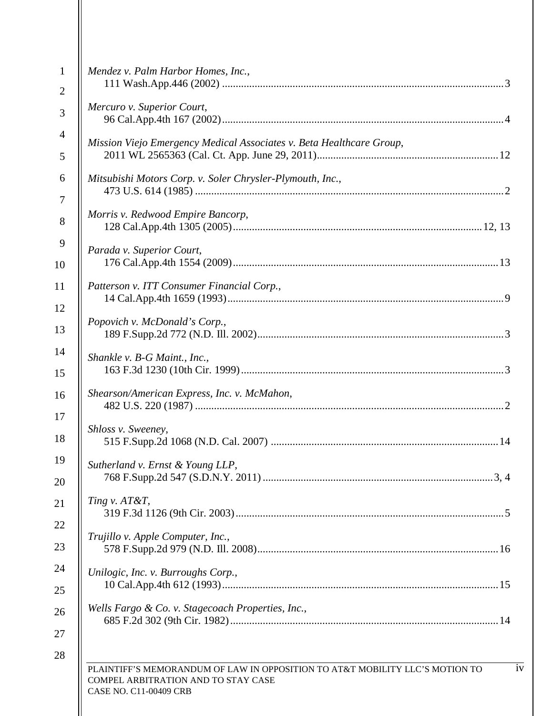| Mendez v. Palm Harbor Homes, Inc.,                                                                                                            |
|-----------------------------------------------------------------------------------------------------------------------------------------------|
| Mercuro v. Superior Court,                                                                                                                    |
| Mission Viejo Emergency Medical Associates v. Beta Healthcare Group,                                                                          |
| Mitsubishi Motors Corp. v. Soler Chrysler-Plymouth, Inc.,                                                                                     |
| Morris v. Redwood Empire Bancorp,                                                                                                             |
| Parada v. Superior Court,                                                                                                                     |
| Patterson v. ITT Consumer Financial Corp.,                                                                                                    |
| Popovich v. McDonald's Corp.,                                                                                                                 |
| Shankle v. B-G Maint., Inc.,                                                                                                                  |
| Shearson/American Express, Inc. v. McMahon,                                                                                                   |
| Shloss v. Sweeney,                                                                                                                            |
| Sutherland v. Ernst & Young LLP,                                                                                                              |
| Ting v. AT&T,                                                                                                                                 |
| Trujillo v. Apple Computer, Inc.,                                                                                                             |
| Unilogic, Inc. v. Burroughs Corp.,                                                                                                            |
| Wells Fargo & Co. v. Stagecoach Properties, Inc.,                                                                                             |
| PLAINTIFF'S MEMORANDUM OF LAW IN OPPOSITION TO AT&T MOBILITY LLC'S MOTION TO<br>COMPEL ARBITRATION AND TO STAY CASE<br>CASE NO. C11-00409 CRB |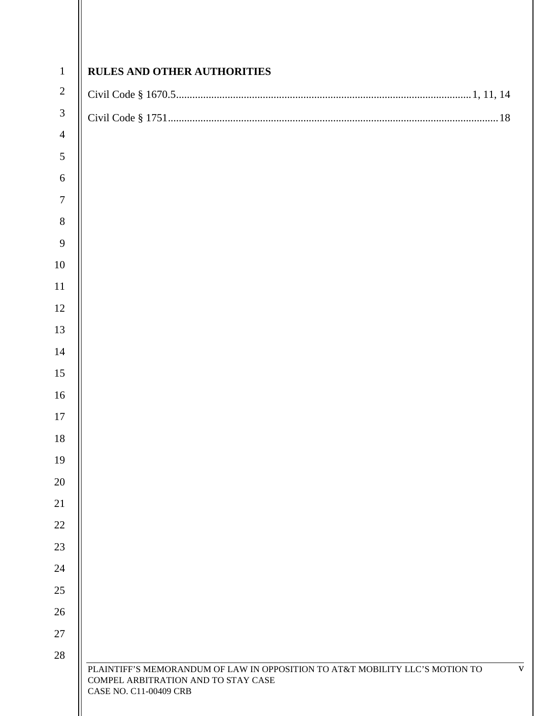| $\overline{2}$ |  |
|----------------|--|
| $\mathfrak{Z}$ |  |
| $\overline{4}$ |  |
| 5              |  |
|                |  |
|                |  |
|                |  |
|                |  |
|                |  |
|                |  |
|                |  |
|                |  |
|                |  |
|                |  |
|                |  |
|                |  |
|                |  |
|                |  |
|                |  |
|                |  |
|                |  |
|                |  |
|                |  |
|                |  |
|                |  |
|                |  |
|                |  |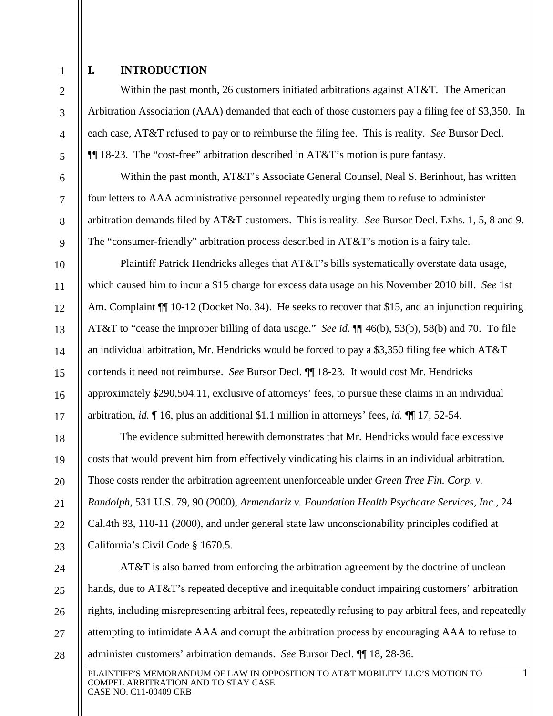2

3

4

5

6

7

8

9

10

11

12

13

14

15

16

17

18

19

20

21

22

23

24

25

26

27

28

1

### <span id="page-6-0"></span>**I. INTRODUCTION**

Within the past month, 26 customers initiated arbitrations against AT&T. The American Arbitration Association (AAA) demanded that each of those customers pay a filing fee of \$3,350. In each case, AT&T refused to pay or to reimburse the filing fee. This is reality. *See* Bursor Decl. ¶¶ 18-23. The "cost-free" arbitration described in AT&T's motion is pure fantasy.

Within the past month, AT&T's Associate General Counsel, Neal S. Berinhout, has written four letters to AAA administrative personnel repeatedly urging them to refuse to administer arbitration demands filed by AT&T customers. This is reality. *See* Bursor Decl. Exhs. 1, 5, 8 and 9. The "consumer-friendly" arbitration process described in AT&T's motion is a fairy tale.

Plaintiff Patrick Hendricks alleges that AT&T's bills systematically overstate data usage, which caused him to incur a \$15 charge for excess data usage on his November 2010 bill. *See* 1st Am. Complaint  $\P$  10-12 (Docket No. 34). He seeks to recover that \$15, and an injunction requiring AT&T to "cease the improper billing of data usage." *See id.* ¶¶ 46(b), 53(b), 58(b) and 70. To file an individual arbitration, Mr. Hendricks would be forced to pay a \$3,350 filing fee which AT&T contends it need not reimburse. *See* Bursor Decl. ¶¶ 18-23. It would cost Mr. Hendricks approximately \$290,504.11, exclusive of attorneys' fees, to pursue these claims in an individual arbitration, *id.* ¶ 16, plus an additional \$1.1 million in attorneys' fees, *id.* ¶¶ 17, 52-54.

The evidence submitted herewith demonstrates that Mr. Hendricks would face excessive costs that would prevent him from effectively vindicating his claims in an individual arbitration. Those costs render the arbitration agreement unenforceable under *Green Tree Fin. Corp. v. Randolph*, 531 U.S. 79, 90 (2000), *Armendariz v. Foundation Health Psychcare Services, Inc.*, 24 Cal.4th 83, 110-11 (2000), and under general state law unconscionability principles codified at California's Civil Code § 1670.5.

AT&T is also barred from enforcing the arbitration agreement by the doctrine of unclean hands, due to AT&T's repeated deceptive and inequitable conduct impairing customers' arbitration rights, including misrepresenting arbitral fees, repeatedly refusing to pay arbitral fees, and repeatedly attempting to intimidate AAA and corrupt the arbitration process by encouraging AAA to refuse to administer customers' arbitration demands. *See* Bursor Decl. ¶¶ 18, 28-36.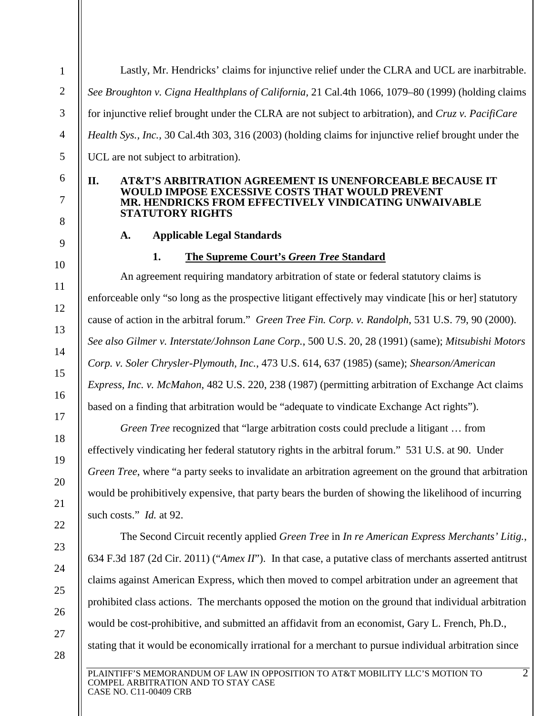Lastly, Mr. Hendricks' claims for injunctive relief under the CLRA and UCL are inarbitrable. *See Broughton v. Cigna Healthplans of California,* 21 Cal.4th 1066, 1079–80 (1999) (holding claims for injunctive relief brought under the CLRA are not subject to arbitration), and *Cruz v. PacifiCare Health Sys., Inc.,* 30 Cal.4th 303, 316 (2003) (holding claims for injunctive relief brought under the UCL are not subject to arbitration).

### <span id="page-7-0"></span>**II. AT&T'S ARBITRATION AGREEMENT IS UNENFORCEABLE BECAUSE IT WOULD IMPOSE EXCESSIVE COSTS THAT WOULD PREVENT MR. HENDRICKS FROM EFFECTIVELY VINDICATING UNWAIVABLE STATUTORY RIGHTS**

# **A. Applicable Legal Standards**

1

2

3

4

5

6

7

<span id="page-7-1"></span>8

<span id="page-7-2"></span>9

10

11

12

13

14

15

16

17

18

19

20

21

22

23

24

25

26

27

28

# **1. The Supreme Court's** *Green Tree* **Standard**

An agreement requiring mandatory arbitration of state or federal statutory claims is enforceable only "so long as the prospective litigant effectively may vindicate [his or her] statutory cause of action in the arbitral forum." *Green Tree Fin. Corp. v. Randolph*, 531 U.S. 79, 90 (2000). *See also Gilmer v. Interstate/Johnson Lane Corp.*, 500 U.S. 20, 28 (1991) (same); *Mitsubishi Motors Corp. v. Soler Chrysler-Plymouth, Inc.*, 473 U.S. 614, 637 (1985) (same); *Shearson/American Express, Inc. v. McMahon*, 482 U.S. 220, 238 (1987) (permitting arbitration of Exchange Act claims based on a finding that arbitration would be "adequate to vindicate Exchange Act rights").

*Green Tree* recognized that "large arbitration costs could preclude a litigant … from effectively vindicating her federal statutory rights in the arbitral forum." 531 U.S. at 90. Under *Green Tree*, where "a party seeks to invalidate an arbitration agreement on the ground that arbitration would be prohibitively expensive, that party bears the burden of showing the likelihood of incurring such costs." *Id.* at 92.

The Second Circuit recently applied *Green Tree* in *In re American Express Merchants' Litig.*, 634 F.3d 187 (2d Cir. 2011) ("*Amex II*"). In that case, a putative class of merchants asserted antitrust claims against American Express, which then moved to compel arbitration under an agreement that prohibited class actions. The merchants opposed the motion on the ground that individual arbitration would be cost-prohibitive, and submitted an affidavit from an economist, Gary L. French, Ph.D., stating that it would be economically irrational for a merchant to pursue individual arbitration since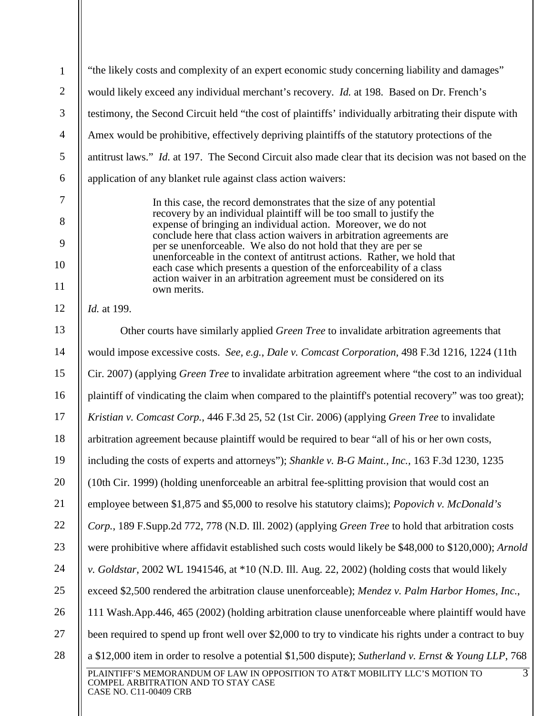| $\mathbf{1}$   | "the likely costs and complexity of an expert economic study concerning liability and damages"                                                                  |  |  |  |
|----------------|-----------------------------------------------------------------------------------------------------------------------------------------------------------------|--|--|--|
| $\overline{2}$ | would likely exceed any individual merchant's recovery. Id. at 198. Based on Dr. French's                                                                       |  |  |  |
| 3              | testimony, the Second Circuit held "the cost of plaintiffs' individually arbitrating their dispute with                                                         |  |  |  |
| $\overline{4}$ | Amex would be prohibitive, effectively depriving plaintiffs of the statutory protections of the                                                                 |  |  |  |
| 5              | antitrust laws." <i>Id.</i> at 197. The Second Circuit also made clear that its decision was not based on the                                                   |  |  |  |
| 6              | application of any blanket rule against class action waivers:                                                                                                   |  |  |  |
| $\overline{7}$ | In this case, the record demonstrates that the size of any potential                                                                                            |  |  |  |
| 8              | recovery by an individual plaintiff will be too small to justify the<br>expense of bringing an individual action. Moreover, we do not                           |  |  |  |
| 9              | conclude here that class action waivers in arbitration agreements are<br>per se unenforceable. We also do not hold that they are per se                         |  |  |  |
| 10             | unenforceable in the context of antitrust actions. Rather, we hold that<br>each case which presents a question of the enforceability of a class                 |  |  |  |
| 11             | action waiver in an arbitration agreement must be considered on its<br>own merits.                                                                              |  |  |  |
| 12             | <i>Id.</i> at 199.                                                                                                                                              |  |  |  |
| 13             | Other courts have similarly applied <i>Green Tree</i> to invalidate arbitration agreements that                                                                 |  |  |  |
| 14             | would impose excessive costs. See, e.g., Dale v. Comcast Corporation, 498 F.3d 1216, 1224 (11th                                                                 |  |  |  |
| 15             | Cir. 2007) (applying <i>Green Tree</i> to invalidate arbitration agreement where "the cost to an individual                                                     |  |  |  |
| 16             | plaintiff of vindicating the claim when compared to the plaintiff's potential recovery" was too great);                                                         |  |  |  |
| 17             | Kristian v. Comcast Corp., 446 F.3d 25, 52 (1st Cir. 2006) (applying Green Tree to invalidate                                                                   |  |  |  |
| 18             | arbitration agreement because plaintiff would be required to bear "all of his or her own costs,                                                                 |  |  |  |
| 19             | including the costs of experts and attorneys"); Shankle v. B-G Maint., Inc., 163 F.3d 1230, 1235                                                                |  |  |  |
| 20             | (10th Cir. 1999) (holding unenforceable an arbitral fee-splitting provision that would cost an                                                                  |  |  |  |
| 21             | employee between \$1,875 and \$5,000 to resolve his statutory claims); <i>Popovich v. McDonald's</i>                                                            |  |  |  |
| 22             | Corp., 189 F.Supp.2d 772, 778 (N.D. Ill. 2002) (applying Green Tree to hold that arbitration costs                                                              |  |  |  |
| 23             | were prohibitive where affidavit established such costs would likely be \$48,000 to \$120,000); Arnold                                                          |  |  |  |
| 24             | v. Goldstar, 2002 WL 1941546, at *10 (N.D. Ill. Aug. 22, 2002) (holding costs that would likely                                                                 |  |  |  |
| 25             | exceed \$2,500 rendered the arbitration clause unenforceable); Mendez v. Palm Harbor Homes, Inc.,                                                               |  |  |  |
| 26             | 111 Wash.App.446, 465 (2002) (holding arbitration clause unenforceable where plaintiff would have                                                               |  |  |  |
| 27             | been required to spend up front well over \$2,000 to try to vindicate his rights under a contract to buy                                                        |  |  |  |
| 28             | a \$12,000 item in order to resolve a potential \$1,500 dispute); Sutherland v. Ernst & Young LLP, 768                                                          |  |  |  |
|                | $\overline{3}$<br>PLAINTIFF'S MEMORANDUM OF LAW IN OPPOSITION TO AT&T MOBILITY LLC'S MOTION TO<br>COMPEL ARBITRATION AND TO STAY CASE<br>CASE NO. C11-00409 CRB |  |  |  |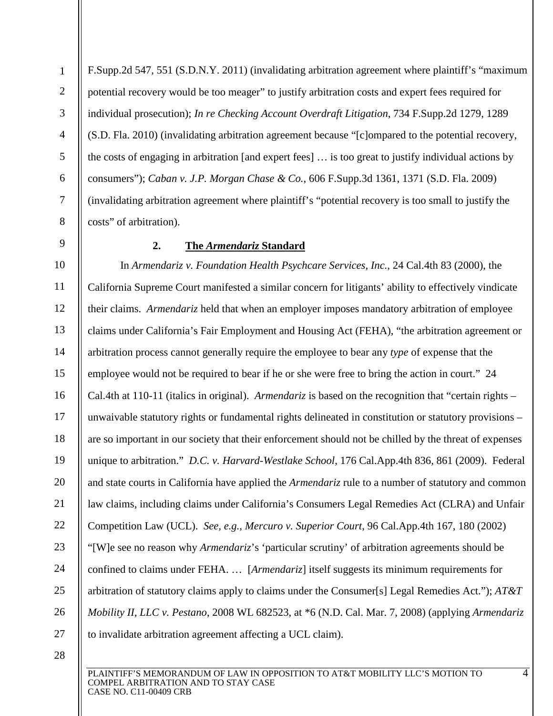F.Supp.2d 547, 551 (S.D.N.Y. 2011) (invalidating arbitration agreement where plaintiff's "maximum potential recovery would be too meager" to justify arbitration costs and expert fees required for individual prosecution); *In re Checking Account Overdraft Litigation*, 734 F.Supp.2d 1279, 1289 (S.D. Fla. 2010) (invalidating arbitration agreement because "[c]ompared to the potential recovery, the costs of engaging in arbitration [and expert fees] … is too great to justify individual actions by consumers"); *Caban v. J.P. Morgan Chase & Co.*, 606 F.Supp.3d 1361, 1371 (S.D. Fla. 2009) (invalidating arbitration agreement where plaintiff's "potential recovery is too small to justify the costs" of arbitration).

<span id="page-9-0"></span>8 9

1

2

3

4

5

6

7

# **2. The** *Armendariz* **Standard**

10 11 12 13 14 15 16 17 18 19 20 21 22 23 24 25 26 27 In *Armendariz v. Foundation Health Psychcare Services, Inc.*, 24 Cal.4th 83 (2000), the California Supreme Court manifested a similar concern for litigants' ability to effectively vindicate their claims. *Armendariz* held that when an employer imposes mandatory arbitration of employee claims under California's Fair Employment and Housing Act (FEHA), "the arbitration agreement or arbitration process cannot generally require the employee to bear any *type* of expense that the employee would not be required to bear if he or she were free to bring the action in court." 24 Cal.4th at 110-11 (italics in original). *Armendariz* is based on the recognition that "certain rights – unwaivable statutory rights or fundamental rights delineated in constitution or statutory provisions – are so important in our society that their enforcement should not be chilled by the threat of expenses unique to arbitration." *D.C. v. Harvard-Westlake School*, 176 Cal.App.4th 836, 861 (2009). Federal and state courts in California have applied the *Armendariz* rule to a number of statutory and common law claims, including claims under California's Consumers Legal Remedies Act (CLRA) and Unfair Competition Law (UCL). *See, e.g.*, *Mercuro v. Superior Court*, 96 Cal.App.4th 167, 180 (2002) "[W]e see no reason why *Armendariz*'s 'particular scrutiny' of arbitration agreements should be confined to claims under FEHA. … [*Armendariz*] itself suggests its minimum requirements for arbitration of statutory claims apply to claims under the Consumer[s] Legal Remedies Act."); *AT&T Mobility II, LLC v. Pestano*, 2008 WL 682523, at \*6 (N.D. Cal. Mar. 7, 2008) (applying *Armendariz*  to invalidate arbitration agreement affecting a UCL claim).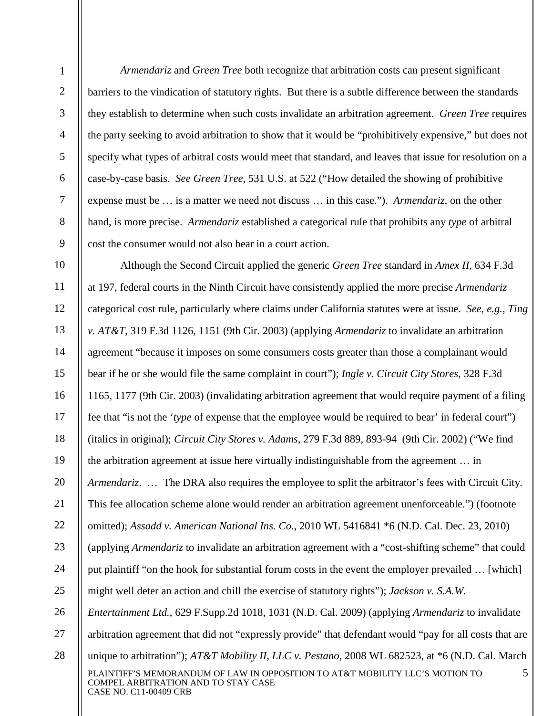*Armendariz* and *Green Tree* both recognize that arbitration costs can present significant barriers to the vindication of statutory rights. But there is a subtle difference between the standards they establish to determine when such costs invalidate an arbitration agreement. *Green Tree* requires the party seeking to avoid arbitration to show that it would be "prohibitively expensive," but does not specify what types of arbitral costs would meet that standard, and leaves that issue for resolution on a case-by-case basis. *See Green Tree*, 531 U.S. at 522 ("How detailed the showing of prohibitive expense must be … is a matter we need not discuss … in this case."). *Armendariz*, on the other hand, is more precise. *Armendariz* established a categorical rule that prohibits any *type* of arbitral cost the consumer would not also bear in a court action.

PLAINTIFF'S MEMORANDUM OF LAW IN OPPOSITION TO AT&T MOBILITY LLC'S MOTION TO COMPEL ARBITRATION AND TO STAY CASE 10 11 12 13 14 15 16 17 18 19 20 21 22 23 24 25 26 27 28 5 Although the Second Circuit applied the generic *Green Tree* standard in *Amex II*, 634 F.3d at 197, federal courts in the Ninth Circuit have consistently applied the more precise *Armendariz*  categorical cost rule, particularly where claims under California statutes were at issue. *See, e.g.*, *Ting v. AT&T*, 319 F.3d 1126, 1151 (9th Cir. 2003) (applying *Armendariz* to invalidate an arbitration agreement "because it imposes on some consumers costs greater than those a complainant would bear if he or she would file the same complaint in court"); *Ingle v. Circuit City Stores*, 328 F.3d 1165, 1177 (9th Cir. 2003) (invalidating arbitration agreement that would require payment of a filing fee that "is not the '*type* of expense that the employee would be required to bear' in federal court") (italics in original); *Circuit City Stores v. Adams*, 279 F.3d 889, 893-94 (9th Cir. 2002) ("We find the arbitration agreement at issue here virtually indistinguishable from the agreement … in *Armendariz....* The DRA also requires the employee to split the arbitrator's fees with Circuit City. This fee allocation scheme alone would render an arbitration agreement unenforceable.") (footnote omitted); *Assadd v. American National Ins. Co.*, 2010 WL 5416841 \*6 (N.D. Cal. Dec. 23, 2010) (applying *Armendariz* to invalidate an arbitration agreement with a "cost-shifting scheme" that could put plaintiff "on the hook for substantial forum costs in the event the employer prevailed … [which] might well deter an action and chill the exercise of statutory rights"); *Jackson v. S.A.W. Entertainment Ltd.*, 629 F.Supp.2d 1018, 1031 (N.D. Cal. 2009) (applying *Armendariz* to invalidate arbitration agreement that did not "expressly provide" that defendant would "pay for all costs that are unique to arbitration"); *AT&T Mobility II, LLC v. Pestano*, 2008 WL 682523, at \*6 (N.D. Cal. March

1

2

3

4

5

6

7

8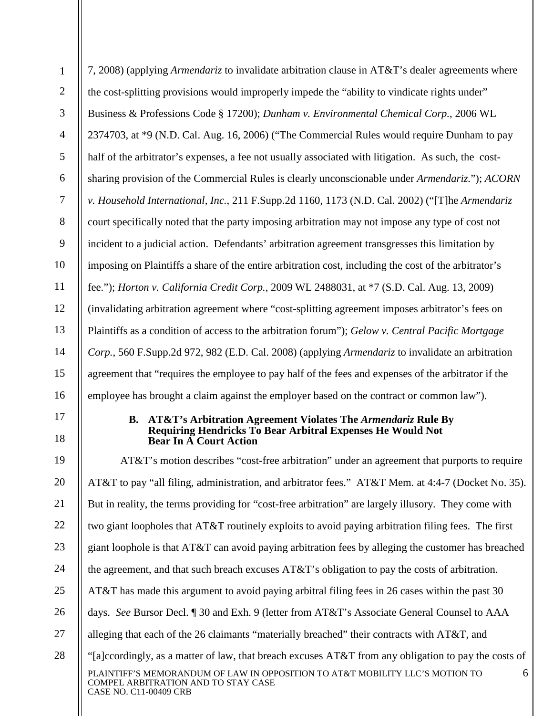<span id="page-11-0"></span>

| $\mathbf{1}$   | 7, 2008) (applying <i>Armendariz</i> to invalidate arbitration clause in AT&T's dealer agreements where                                                                         |  |  |  |
|----------------|---------------------------------------------------------------------------------------------------------------------------------------------------------------------------------|--|--|--|
| $\overline{2}$ | the cost-splitting provisions would improperly impede the "ability to vindicate rights under"                                                                                   |  |  |  |
| 3              | Business & Professions Code § 17200); Dunham v. Environmental Chemical Corp., 2006 WL                                                                                           |  |  |  |
| $\overline{4}$ | 2374703, at *9 (N.D. Cal. Aug. 16, 2006) ("The Commercial Rules would require Dunham to pay                                                                                     |  |  |  |
| 5              | half of the arbitrator's expenses, a fee not usually associated with litigation. As such, the cost-                                                                             |  |  |  |
| 6              | sharing provision of the Commercial Rules is clearly unconscionable under <i>Armendariz</i> ."); <i>ACORN</i>                                                                   |  |  |  |
| $\overline{7}$ | v. Household International, Inc., 211 F.Supp.2d 1160, 1173 (N.D. Cal. 2002) ("[T]he Armendariz                                                                                  |  |  |  |
| 8              | court specifically noted that the party imposing arbitration may not impose any type of cost not                                                                                |  |  |  |
| 9              | incident to a judicial action. Defendants' arbitration agreement transgresses this limitation by                                                                                |  |  |  |
| 10             | imposing on Plaintiffs a share of the entire arbitration cost, including the cost of the arbitrator's                                                                           |  |  |  |
| 11             | fee."); <i>Horton v. California Credit Corp.</i> , 2009 WL 2488031, at *7 (S.D. Cal. Aug. 13, 2009)                                                                             |  |  |  |
| 12             | (invalidating arbitration agreement where "cost-splitting agreement imposes arbitrator's fees on                                                                                |  |  |  |
| 13             | Plaintiffs as a condition of access to the arbitration forum"); Gelow v. Central Pacific Mortgage                                                                               |  |  |  |
| 14             | Corp., 560 F.Supp.2d 972, 982 (E.D. Cal. 2008) (applying Armendariz to invalidate an arbitration                                                                                |  |  |  |
| 15             | agreement that "requires the employee to pay half of the fees and expenses of the arbitrator if the                                                                             |  |  |  |
| 16             | employee has brought a claim against the employer based on the contract or common law").                                                                                        |  |  |  |
| 17<br>18       | AT&T's Arbitration Agreement Violates The Armendariz Rule By<br><b>B.</b><br><b>Requiring Hendricks To Bear Arbitral Expenses He Would Not</b><br><b>Bear In A Court Action</b> |  |  |  |
| 19             | AT&T's motion describes "cost-free arbitration" under an agreement that purports to require                                                                                     |  |  |  |
| 20             | AT&T to pay "all filing, administration, and arbitrator fees." AT&T Mem. at 4:4-7 (Docket No. 35).                                                                              |  |  |  |
| 21             | But in reality, the terms providing for "cost-free arbitration" are largely illusory. They come with                                                                            |  |  |  |
| 22             | two giant loopholes that AT&T routinely exploits to avoid paying arbitration filing fees. The first                                                                             |  |  |  |
| 23             | giant loophole is that AT&T can avoid paying arbitration fees by alleging the customer has breached                                                                             |  |  |  |
| 24             | the agreement, and that such breach excuses AT&T's obligation to pay the costs of arbitration.                                                                                  |  |  |  |
| 25             | AT&T has made this argument to avoid paying arbitral filing fees in 26 cases within the past 30                                                                                 |  |  |  |
| 26             | days. See Bursor Decl. 1 30 and Exh. 9 (letter from AT&T's Associate General Counsel to AAA                                                                                     |  |  |  |
| 27             | alleging that each of the 26 claimants "materially breached" their contracts with AT&T, and                                                                                     |  |  |  |
| 28             | "[a]coordingly, as a matter of law, that breach excuses AT&T from any obligation to pay the costs of                                                                            |  |  |  |
|                | 6<br>PLAINTIFF'S MEMORANDUM OF LAW IN OPPOSITION TO AT&T MOBILITY LLC'S MOTION TO<br>COMPEL ARBITRATION AND TO STAY CASE<br>CASE NO. C11-00409 CRB                              |  |  |  |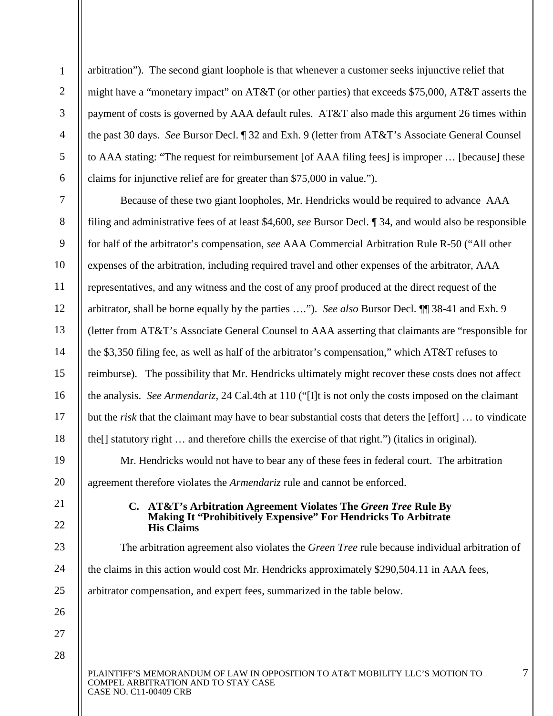arbitration"). The second giant loophole is that whenever a customer seeks injunctive relief that might have a "monetary impact" on AT&T (or other parties) that exceeds \$75,000, AT&T asserts the payment of costs is governed by AAA default rules. AT&T also made this argument 26 times within the past 30 days. *See* Bursor Decl. ¶ 32 and Exh. 9 (letter from AT&T's Associate General Counsel to AAA stating: "The request for reimbursement [of AAA filing fees] is improper … [because] these claims for injunctive relief are for greater than \$75,000 in value.").

7 8 9 10 12 13 14 15 16 17 18 19 Because of these two giant loopholes, Mr. Hendricks would be required to advance AAA filing and administrative fees of at least \$4,600, *see* Bursor Decl. ¶ 34, and would also be responsible for half of the arbitrator's compensation, *see* AAA Commercial Arbitration Rule R-50 ("All other expenses of the arbitration, including required travel and other expenses of the arbitrator, AAA representatives, and any witness and the cost of any proof produced at the direct request of the arbitrator, shall be borne equally by the parties …."). *See also* Bursor Decl. ¶¶ 38-41 and Exh. 9 (letter from AT&T's Associate General Counsel to AAA asserting that claimants are "responsible for the \$3,350 filing fee, as well as half of the arbitrator's compensation," which AT&T refuses to reimburse). The possibility that Mr. Hendricks ultimately might recover these costs does not affect the analysis. *See Armendariz*, 24 Cal.4th at 110 ("[I]t is not only the costs imposed on the claimant but the *risk* that the claimant may have to bear substantial costs that deters the [effort] … to vindicate the[] statutory right … and therefore chills the exercise of that right.") (italics in original). Mr. Hendricks would not have to bear any of these fees in federal court. The arbitration

<span id="page-12-0"></span>agreement therefore violates the *Armendariz* rule and cannot be enforced.

### **C. AT&T's Arbitration Agreement Violates The** *Green Tree* **Rule By Making It "Prohibitively Expensive" For Hendricks To Arbitrate His Claims**

The arbitration agreement also violates the *Green Tree* rule because individual arbitration of the claims in this action would cost Mr. Hendricks approximately \$290,504.11 in AAA fees, arbitrator compensation, and expert fees, summarized in the table below.

PLAINTIFF'S MEMORANDUM OF LAW IN OPPOSITION TO AT&T MOBILITY LLC'S MOTION TO COMPEL ARBITRATION AND TO STAY CASE

CASE NO. C11-00409 CRB

1

2

3

4

5

6

11

20

21

22

23

24

25

26

27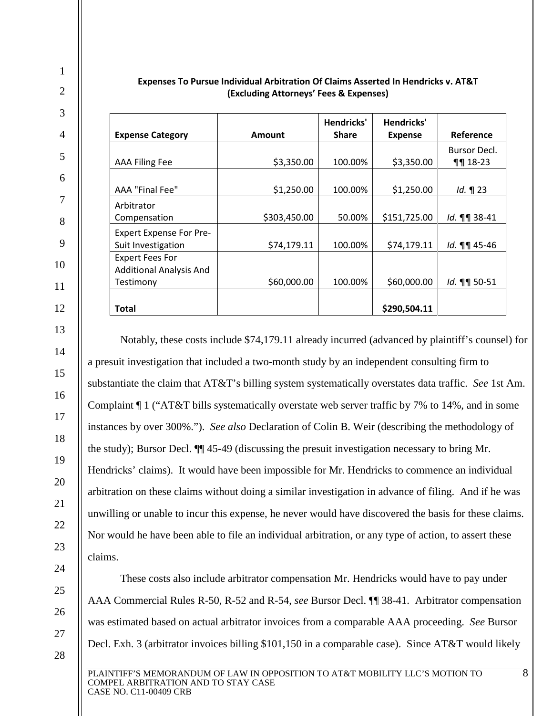| <b>Expense Category</b>        | <b>Amount</b> | Hendricks'<br><b>Share</b> | Hendricks'<br><b>Expense</b> | Reference                           |
|--------------------------------|---------------|----------------------------|------------------------------|-------------------------------------|
|                                |               |                            |                              |                                     |
| <b>AAA Filing Fee</b>          | \$3,350.00    | 100.00%                    | \$3,350.00                   | <b>Bursor Decl.</b><br>$\P\P$ 18-23 |
|                                |               |                            |                              |                                     |
| AAA "Final Fee"                | \$1,250.00    | 100.00%                    | \$1,250.00                   | $Id. \P 23$                         |
| Arbitrator                     |               |                            |                              |                                     |
| Compensation                   | \$303,450.00  | 50.00%                     | \$151,725.00                 | Id. 11 38-41                        |
| <b>Expert Expense For Pre-</b> |               |                            |                              |                                     |
| Suit Investigation             | \$74,179.11   | 100.00%                    | \$74,179.11                  | Id. 11 45-46                        |
| <b>Expert Fees For</b>         |               |                            |                              |                                     |
| <b>Additional Analysis And</b> |               |                            |                              |                                     |
| Testimony                      | \$60,000.00   | 100.00%                    | \$60,000.00                  | Id. 11 50-51                        |
|                                |               |                            |                              |                                     |
| <b>Total</b>                   |               |                            | \$290,504.11                 |                                     |

#### **Expenses To Pursue Individual Arbitration Of Claims Asserted In Hendricks v. AT&T (Excluding Attorneys' Fees & Expenses)**

1

2

3

4

5

6

7

8

9

10

11

12

13

14

15

16

17

18

19

20

21

22

23

24

25

26

27

28

Notably, these costs include \$74,179.11 already incurred (advanced by plaintiff's counsel) for a presuit investigation that included a two-month study by an independent consulting firm to substantiate the claim that AT&T's billing system systematically overstates data traffic. *See* 1st Am. Complaint ¶ 1 ("AT&T bills systematically overstate web server traffic by 7% to 14%, and in some instances by over 300%."). *See also* Declaration of Colin B. Weir (describing the methodology of the study); Bursor Decl. ¶¶ 45-49 (discussing the presuit investigation necessary to bring Mr. Hendricks' claims). It would have been impossible for Mr. Hendricks to commence an individual arbitration on these claims without doing a similar investigation in advance of filing. And if he was unwilling or unable to incur this expense, he never would have discovered the basis for these claims. Nor would he have been able to file an individual arbitration, or any type of action, to assert these claims.

These costs also include arbitrator compensation Mr. Hendricks would have to pay under AAA Commercial Rules R-50, R-52 and R-54, *see* Bursor Decl. ¶¶ 38-41. Arbitrator compensation was estimated based on actual arbitrator invoices from a comparable AAA proceeding. *See* Bursor Decl. Exh. 3 (arbitrator invoices billing \$101,150 in a comparable case). Since AT&T would likely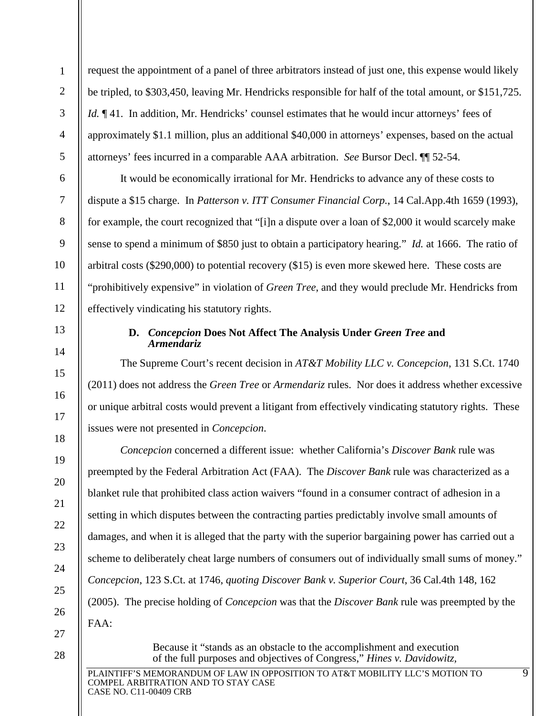request the appointment of a panel of three arbitrators instead of just one, this expense would likely be tripled, to \$303,450, leaving Mr. Hendricks responsible for half of the total amount, or \$151,725. *Id.*  $\P$  41. In addition, Mr. Hendricks' counsel estimates that he would incur attorneys' fees of approximately \$1.1 million, plus an additional \$40,000 in attorneys' expenses, based on the actual attorneys' fees incurred in a comparable AAA arbitration. *See* Bursor Decl. ¶¶ 52-54.

It would be economically irrational for Mr. Hendricks to advance any of these costs to dispute a \$15 charge. In *Patterson v. ITT Consumer Financial Corp.*, 14 Cal.App.4th 1659 (1993), for example, the court recognized that "[i]n a dispute over a loan of \$2,000 it would scarcely make sense to spend a minimum of \$850 just to obtain a participatory hearing." *Id.* at 1666. The ratio of arbitral costs (\$290,000) to potential recovery (\$15) is even more skewed here. These costs are "prohibitively expensive" in violation of *Green Tree*, and they would preclude Mr. Hendricks from effectively vindicating his statutory rights.

### **D.** *Concepcion* **Does Not Affect The Analysis Under** *Green Tree* **and** *Armendariz*

The Supreme Court's recent decision in *AT&T Mobility LLC v. Concepcion*, 131 S.Ct. 1740 (2011) does not address the *Green Tree* or *Armendariz* rules. Nor does it address whether excessive or unique arbitral costs would prevent a litigant from effectively vindicating statutory rights. These issues were not presented in *Concepcion*.

*Concepcion* concerned a different issue: whether California's *Discover Bank* rule was preempted by the Federal Arbitration Act (FAA). The *Discover Bank* rule was characterized as a blanket rule that prohibited class action waivers "found in a consumer contract of adhesion in a setting in which disputes between the contracting parties predictably involve small amounts of damages, and when it is alleged that the party with the superior bargaining power has carried out a scheme to deliberately cheat large numbers of consumers out of individually small sums of money." *Concepcion*, 123 S.Ct. at 1746, *quoting Discover Bank v. Superior Court*, 36 Cal.4th 148, 162 (2005). The precise holding of *Concepcion* was that the *Discover Bank* rule was preempted by the FAA:

27 28

1

2

3

4

5

6

7

8

9

10

11

12

<span id="page-14-0"></span>13

14

15

16

17

18

19

20

21

22

23

24

25

26

Because it "stands as an obstacle to the accomplishment and execution of the full purposes and objectives of Congress," *Hines v. Davidowitz,*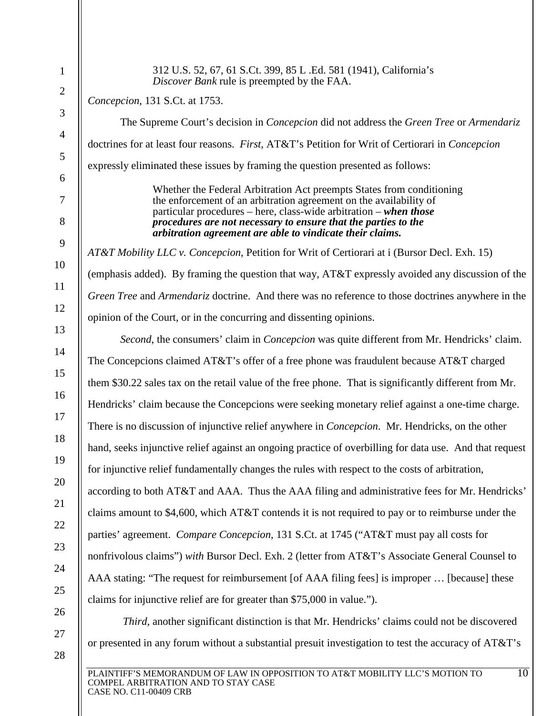| 312 U.S. 52, 67, 61 S.Ct. 399, 85 L.Ed. 581 (1941), California's<br>Discover Bank rule is preempted by the FAA.                                                                                                                                                                                                                                 |
|-------------------------------------------------------------------------------------------------------------------------------------------------------------------------------------------------------------------------------------------------------------------------------------------------------------------------------------------------|
| Concepcion, 131 S.Ct. at 1753.                                                                                                                                                                                                                                                                                                                  |
| The Supreme Court's decision in <i>Concepcion</i> did not address the <i>Green Tree</i> or <i>Armendariz</i>                                                                                                                                                                                                                                    |
| doctrines for at least four reasons. First, AT&T's Petition for Writ of Certiorari in Concepcion                                                                                                                                                                                                                                                |
| expressly eliminated these issues by framing the question presented as follows:                                                                                                                                                                                                                                                                 |
| Whether the Federal Arbitration Act preempts States from conditioning<br>the enforcement of an arbitration agreement on the availability of<br>particular procedures – here, class-wide arbitration – when those<br>procedures are not necessary to ensure that the parties to the<br>arbitration agreement are able to vindicate their claims. |
| AT&T Mobility LLC v. Concepcion, Petition for Writ of Certiorari at i (Bursor Decl. Exh. 15)                                                                                                                                                                                                                                                    |
| (emphasis added). By framing the question that way, AT&T expressly avoided any discussion of the                                                                                                                                                                                                                                                |
| Green Tree and Armendariz doctrine. And there was no reference to those doctrines anywhere in the                                                                                                                                                                                                                                               |
| opinion of the Court, or in the concurring and dissenting opinions.                                                                                                                                                                                                                                                                             |
| Second, the consumers' claim in Concepcion was quite different from Mr. Hendricks' claim.                                                                                                                                                                                                                                                       |
| The Concepcions claimed AT&T's offer of a free phone was fraudulent because AT&T charged                                                                                                                                                                                                                                                        |
| them \$30.22 sales tax on the retail value of the free phone. That is significantly different from Mr.                                                                                                                                                                                                                                          |
| Hendricks' claim because the Concepcions were seeking monetary relief against a one-time charge.                                                                                                                                                                                                                                                |
| There is no discussion of injunctive relief anywhere in <i>Concepcion</i> . Mr. Hendricks, on the other                                                                                                                                                                                                                                         |
| hand, seeks injunctive relief against an ongoing practice of overbilling for data use. And that request                                                                                                                                                                                                                                         |
| for injunctive relief fundamentally changes the rules with respect to the costs of arbitration,                                                                                                                                                                                                                                                 |
| according to both AT&T and AAA. Thus the AAA filing and administrative fees for Mr. Hendricks'                                                                                                                                                                                                                                                  |
| claims amount to \$4,600, which $AT&T$ contends it is not required to pay or to reimburse under the                                                                                                                                                                                                                                             |
| parties' agreement. Compare Concepcion, 131 S.Ct. at 1745 ("AT&T must pay all costs for                                                                                                                                                                                                                                                         |
| nonfrivolous claims") with Bursor Decl. Exh. 2 (letter from AT&T's Associate General Counsel to                                                                                                                                                                                                                                                 |
| AAA stating: "The request for reimbursement [of AAA filing fees] is improper  [because] these                                                                                                                                                                                                                                                   |
| claims for injunctive relief are for greater than \$75,000 in value.").                                                                                                                                                                                                                                                                         |
| Third, another significant distinction is that Mr. Hendricks' claims could not be discovered                                                                                                                                                                                                                                                    |
| or presented in any forum without a substantial presuit investigation to test the accuracy of AT&T's                                                                                                                                                                                                                                            |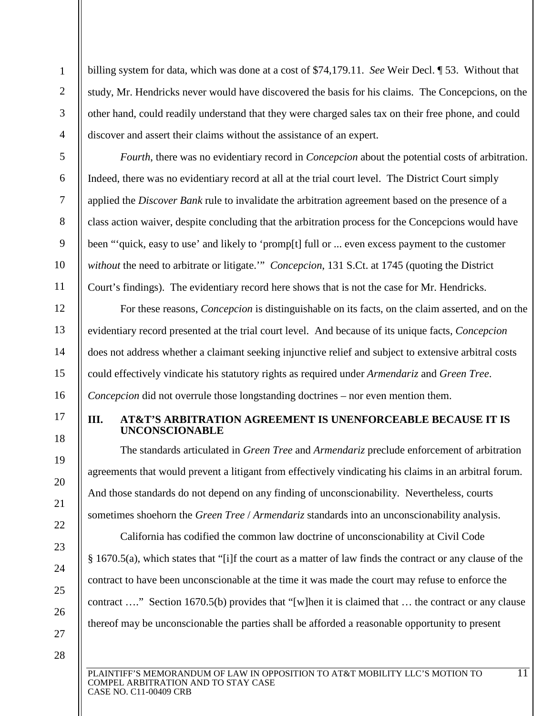billing system for data, which was done at a cost of \$74,179.11. *See* Weir Decl. ¶ 53. Without that study, Mr. Hendricks never would have discovered the basis for his claims. The Concepcions, on the other hand, could readily understand that they were charged sales tax on their free phone, and could discover and assert their claims without the assistance of an expert.

*Fourth*, there was no evidentiary record in *Concepcion* about the potential costs of arbitration. Indeed, there was no evidentiary record at all at the trial court level. The District Court simply applied the *Discover Bank* rule to invalidate the arbitration agreement based on the presence of a class action waiver, despite concluding that the arbitration process for the Concepcions would have been "'quick, easy to use' and likely to 'promp[t] full or ... even excess payment to the customer *without* the need to arbitrate or litigate.'" *Concepcion*, 131 S.Ct. at 1745 (quoting the District Court's findings). The evidentiary record here shows that is not the case for Mr. Hendricks.

For these reasons, *Concepcion* is distinguishable on its facts, on the claim asserted, and on the evidentiary record presented at the trial court level. And because of its unique facts, *Concepcion* does not address whether a claimant seeking injunctive relief and subject to extensive arbitral costs could effectively vindicate his statutory rights as required under *Armendariz* and *Green Tree*. *Concepcion* did not overrule those longstanding doctrines – nor even mention them.

# <span id="page-16-0"></span>**III. AT&T'S ARBITRATION AGREEMENT IS UNENFORCEABLE BECAUSE IT IS UNCONSCIONABLE**

The standards articulated in *Green Tree* and *Armendariz* preclude enforcement of arbitration agreements that would prevent a litigant from effectively vindicating his claims in an arbitral forum. And those standards do not depend on any finding of unconscionability. Nevertheless, courts sometimes shoehorn the *Green Tree* / *Armendariz* standards into an unconscionability analysis.

California has codified the common law doctrine of unconscionability at Civil Code § 1670.5(a), which states that "[i]f the court as a matter of law finds the contract or any clause of the contract to have been unconscionable at the time it was made the court may refuse to enforce the contract …." Section 1670.5(b) provides that "[w]hen it is claimed that … the contract or any clause thereof may be unconscionable the parties shall be afforded a reasonable opportunity to present

27 28

1

2

3

4

5

6

7

8

9

10

11

12

13

14

15

16

17

18

19

20

21

22

23

24

25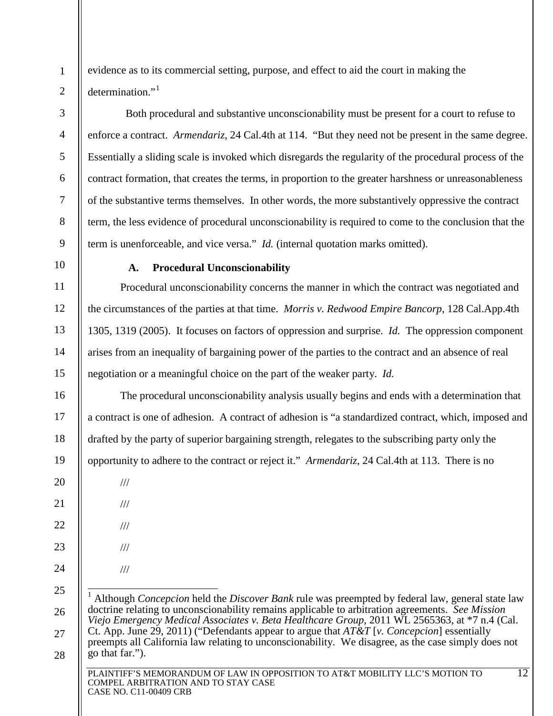evidence as to its commercial setting, purpose, and effect to aid the court in making the determination."<sup>[1](#page-17-1)</sup>

 Both procedural and substantive unconscionability must be present for a court to refuse to enforce a contract. *Armendariz*, 24 Cal.4th at 114. "But they need not be present in the same degree. Essentially a sliding scale is invoked which disregards the regularity of the procedural process of the contract formation, that creates the terms, in proportion to the greater harshness or unreasonableness of the substantive terms themselves. In other words, the more substantively oppressive the contract term, the less evidence of procedural unconscionability is required to come to the conclusion that the term is unenforceable, and vice versa." *Id.* (internal quotation marks omitted).

10

11

12

13

14

15

16

17

18

19

20

21

22

23

1

2

3

4

5

6

7

8

<span id="page-17-0"></span>9

# **A. Procedural Unconscionability**

Procedural unconscionability concerns the manner in which the contract was negotiated and the circumstances of the parties at that time. *Morris v. Redwood Empire Bancorp*, 128 Cal.App.4th 1305, 1319 (2005). It focuses on factors of oppression and surprise. *Id.* The oppression component arises from an inequality of bargaining power of the parties to the contract and an absence of real negotiation or a meaningful choice on the part of the weaker party. *Id.*

The procedural unconscionability analysis usually begins and ends with a determination that a contract is one of adhesion. A contract of adhesion is "a standardized contract, which, imposed and drafted by the party of superior bargaining strength, relegates to the subscribing party only the opportunity to adhere to the contract or reject it." *Armendariz*, 24 Cal.4th at 113. There is no

- ///
- ///
- ///

///

- ///
- 24
- <span id="page-17-1"></span>25 26

27

28

 1 Although *Concepcion* held the *Discover Bank* rule was preempted by federal law, general state law doctrine relating to unconscionability remains applicable to arbitration agreements. *See Mission Viejo Emergency Medical Associates v. Beta Healthcare Group*, 2011 WL 2565363, at \*7 n.4 (Cal. Ct. App. June 29, 2011) ("Defendants appear to argue that *AT&T* [*v. Concepcion*] essentially preempts all California law relating to unconscionability. We disagree, as the case simply does not go that far.").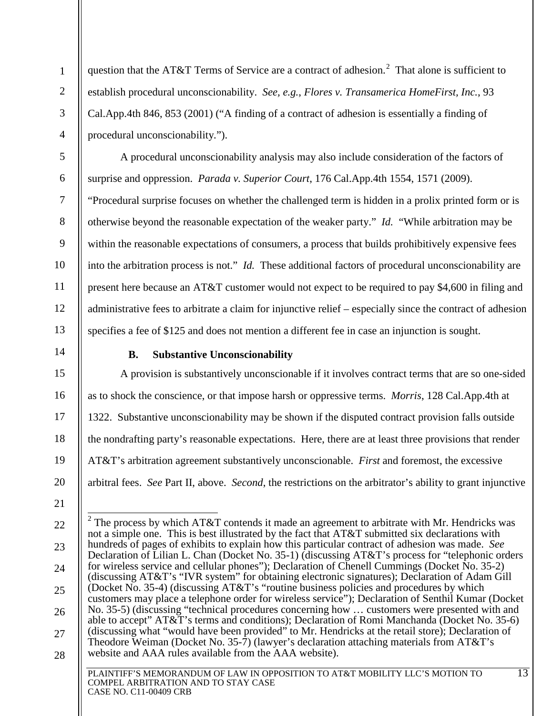question that the AT&T Terms of Service are a contract of adhesion.<sup>[2](#page-18-1)</sup> That alone is sufficient to establish procedural unconscionability. *See, e.g.*, *Flores v. Transamerica HomeFirst, Inc.*, 93 Cal.App.4th 846, 853 (2001) ("A finding of a contract of adhesion is essentially a finding of procedural unconscionability.").

A procedural unconscionability analysis may also include consideration of the factors of surprise and oppression. *Parada v. Superior Court*, 176 Cal.App.4th 1554, 1571 (2009). "Procedural surprise focuses on whether the challenged term is hidden in a prolix printed form or is otherwise beyond the reasonable expectation of the weaker party." *Id.* "While arbitration may be within the reasonable expectations of consumers, a process that builds prohibitively expensive fees into the arbitration process is not." *Id.* These additional factors of procedural unconscionability are present here because an AT&T customer would not expect to be required to pay \$4,600 in filing and administrative fees to arbitrate a claim for injunctive relief – especially since the contract of adhesion specifies a fee of \$125 and does not mention a different fee in case an injunction is sought.

<span id="page-18-0"></span>14

1

2

3

4

5

6

7

8

9

10

11

12

13

15

17

18

19

20

# **B. Substantive Unconscionability**

16 A provision is substantively unconscionable if it involves contract terms that are so one-sided as to shock the conscience, or that impose harsh or oppressive terms. *Morris*, 128 Cal.App.4th at 1322. Substantive unconscionability may be shown if the disputed contract provision falls outside the nondrafting party's reasonable expectations. Here, there are at least three provisions that render AT&T's arbitration agreement substantively unconscionable. *First* and foremost, the excessive arbitral fees. *See* Part II, above. *Second*, the restrictions on the arbitrator's ability to grant injunctive

<span id="page-18-1"></span>PLAINTIFF'S MEMORANDUM OF LAW IN OPPOSITION TO AT&T MOBILITY LLC'S MOTION TO 22 23 24 25 26 27 28 13 <sup>2</sup> The process by which AT&T contends it made an agreement to arbitrate with Mr. Hendricks was not a simple one. This is best illustrated by the fact that AT&T submitted six declarations with hundreds of pages of exhibits to explain how this particular contract of adhesion was made. *See*  Declaration of Lilian L. Chan (Docket No. 35-1) (discussing AT&T's process for "telephonic orders for wireless service and cellular phones"); Declaration of Chenell Cummings (Docket No. 35-2) (discussing AT&T's "IVR system" for obtaining electronic signatures); Declaration of Adam Gill (Docket No. 35-4) (discussing AT&T's "routine business policies and procedures by which customers may place a telephone order for wireless service"); Declaration of Senthil Kumar (Docket No. 35-5) (discussing "technical procedures concerning how … customers were presented with and able to accept" AT&T's terms and conditions); Declaration of Romi Manchanda (Docket No. 35-6) (discussing what "would have been provided" to Mr. Hendricks at the retail store); Declaration of Theodore Weiman (Docket No. 35-7) (lawyer's declaration attaching materials from AT&T's website and AAA rules available from the AAA website).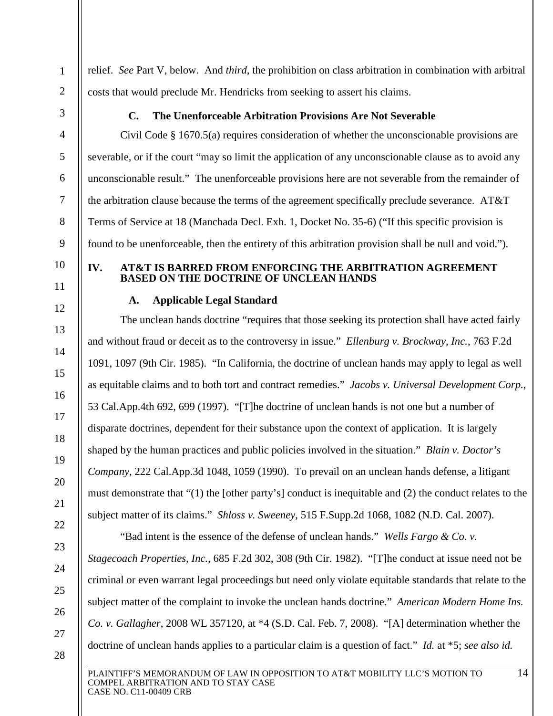relief. *See* Part V, below. And *third*, the prohibition on class arbitration in combination with arbitral costs that would preclude Mr. Hendricks from seeking to assert his claims.

<span id="page-19-0"></span>

1

2

3

4

5

6

7

8

9

# **C. The Unenforceable Arbitration Provisions Are Not Severable**

Civil Code § 1670.5(a) requires consideration of whether the unconscionable provisions are severable, or if the court "may so limit the application of any unconscionable clause as to avoid any unconscionable result." The unenforceable provisions here are not severable from the remainder of the arbitration clause because the terms of the agreement specifically preclude severance. AT&T Terms of Service at 18 (Manchada Decl. Exh. 1, Docket No. 35-6) ("If this specific provision is found to be unenforceable, then the entirety of this arbitration provision shall be null and void.").

10 11

12

13

14

15

16

17

#### <span id="page-19-2"></span><span id="page-19-1"></span>**IV. AT&T IS BARRED FROM ENFORCING THE ARBITRATION AGREEMENT BASED ON THE DOCTRINE OF UNCLEAN HANDS**

# **A. Applicable Legal Standard**

The unclean hands doctrine "requires that those seeking its protection shall have acted fairly and without fraud or deceit as to the controversy in issue." *Ellenburg v. Brockway, Inc.*, 763 F.2d 1091, 1097 (9th Cir. 1985). "In California, the doctrine of unclean hands may apply to legal as well as equitable claims and to both tort and contract remedies." *Jacobs v. Universal Development Corp.*, 53 Cal.App.4th 692, 699 (1997). "[T]he doctrine of unclean hands is not one but a number of disparate doctrines, dependent for their substance upon the context of application. It is largely shaped by the human practices and public policies involved in the situation." *Blain v. Doctor's Company*, 222 Cal.App.3d 1048, 1059 (1990). To prevail on an unclean hands defense, a litigant must demonstrate that "(1) the [other party's] conduct is inequitable and (2) the conduct relates to the subject matter of its claims." *Shloss v. Sweeney*, 515 F.Supp.2d 1068, 1082 (N.D. Cal. 2007).

"Bad intent is the essence of the defense of unclean hands." *Wells Fargo & Co. v.* 

*Stagecoach Properties, Inc.*, 685 F.2d 302, 308 (9th Cir. 1982). "[T]he conduct at issue need not be

criminal or even warrant legal proceedings but need only violate equitable standards that relate to the

subject matter of the complaint to invoke the unclean hands doctrine." *American Modern Home Ins.* 

*Co. v. Gallagher*, 2008 WL 357120, at \*4 (S.D. Cal. Feb. 7, 2008). "[A] determination whether the

doctrine of unclean hands applies to a particular claim is a question of fact." *Id.* at \*5; *see also id.*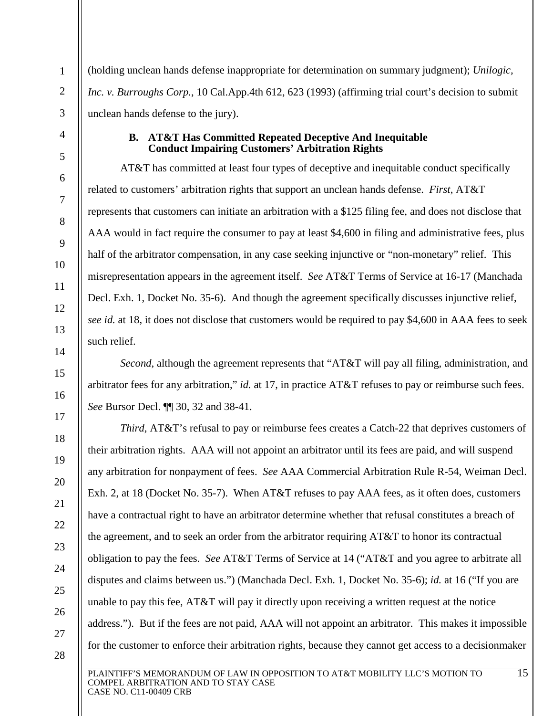(holding unclean hands defense inappropriate for determination on summary judgment); *Unilogic, Inc. v. Burroughs Corp.*, 10 Cal.App.4th 612, 623 (1993) (affirming trial court's decision to submit unclean hands defense to the jury).

### **B. AT&T Has Committed Repeated Deceptive And Inequitable Conduct Impairing Customers' Arbitration Rights**

<span id="page-20-0"></span>AT&T has committed at least four types of deceptive and inequitable conduct specifically related to customers' arbitration rights that support an unclean hands defense. *First*, AT&T represents that customers can initiate an arbitration with a \$125 filing fee, and does not disclose that AAA would in fact require the consumer to pay at least \$4,600 in filing and administrative fees, plus half of the arbitrator compensation, in any case seeking injunctive or "non-monetary" relief. This misrepresentation appears in the agreement itself. *See* AT&T Terms of Service at 16-17 (Manchada Decl. Exh. 1, Docket No. 35-6). And though the agreement specifically discusses injunctive relief, *see id.* at 18, it does not disclose that customers would be required to pay \$4,600 in AAA fees to seek such relief.

*Second*, although the agreement represents that "AT&T will pay all filing, administration, and arbitrator fees for any arbitration," *id.* at 17, in practice AT&T refuses to pay or reimburse such fees. *See* Bursor Decl. ¶¶ 30, 32 and 38-41.

*Third*, AT&T's refusal to pay or reimburse fees creates a Catch-22 that deprives customers of their arbitration rights. AAA will not appoint an arbitrator until its fees are paid, and will suspend any arbitration for nonpayment of fees. *See* AAA Commercial Arbitration Rule R-54, Weiman Decl. Exh. 2, at 18 (Docket No. 35-7). When AT&T refuses to pay AAA fees, as it often does, customers have a contractual right to have an arbitrator determine whether that refusal constitutes a breach of the agreement, and to seek an order from the arbitrator requiring AT&T to honor its contractual obligation to pay the fees. *See* AT&T Terms of Service at 14 ("AT&T and you agree to arbitrate all disputes and claims between us.") (Manchada Decl. Exh. 1, Docket No. 35-6); *id.* at 16 ("If you are unable to pay this fee, AT&T will pay it directly upon receiving a written request at the notice address."). But if the fees are not paid, AAA will not appoint an arbitrator. This makes it impossible for the customer to enforce their arbitration rights, because they cannot get access to a decisionmaker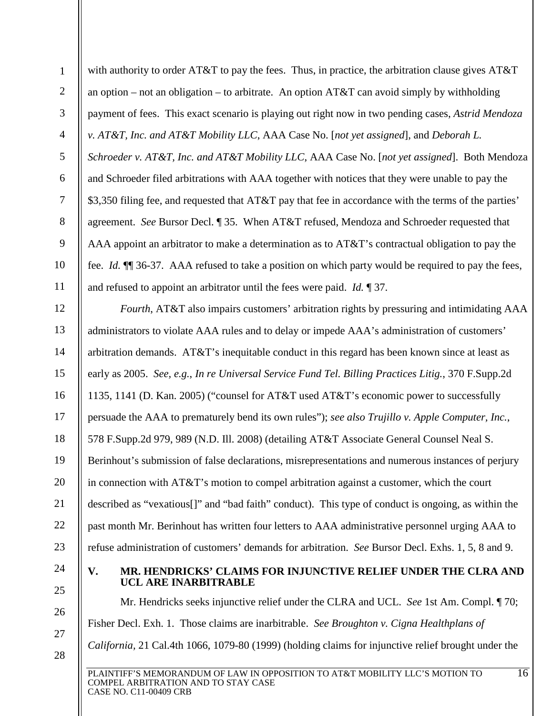with authority to order AT&T to pay the fees. Thus, in practice, the arbitration clause gives AT&T an option – not an obligation – to arbitrate. An option  $AT&T$  can avoid simply by withholding payment of fees. This exact scenario is playing out right now in two pending cases, *Astrid Mendoza v. AT&T, Inc. and AT&T Mobility LLC*, AAA Case No. [*not yet assigned*], and *Deborah L. Schroeder v. AT&T, Inc. and AT&T Mobility LLC*, AAA Case No. [*not yet assigned*]. Both Mendoza and Schroeder filed arbitrations with AAA together with notices that they were unable to pay the \$3,350 filing fee, and requested that AT&T pay that fee in accordance with the terms of the parties' agreement. *See* Bursor Decl. ¶ 35. When AT&T refused, Mendoza and Schroeder requested that AAA appoint an arbitrator to make a determination as to AT&T's contractual obligation to pay the fee. *Id.* ¶¶ 36-37. AAA refused to take a position on which party would be required to pay the fees, and refused to appoint an arbitrator until the fees were paid. *Id.* ¶ 37.

12 13 14 15 16 17 18 19 20 21 22 23 *Fourth*, AT&T also impairs customers' arbitration rights by pressuring and intimidating AAA administrators to violate AAA rules and to delay or impede AAA's administration of customers' arbitration demands. AT&T's inequitable conduct in this regard has been known since at least as early as 2005. *See, e.g.*, *In re Universal Service Fund Tel. Billing Practices Litig.*, 370 F.Supp.2d 1135, 1141 (D. Kan. 2005) ("counsel for AT&T used AT&T's economic power to successfully persuade the AAA to prematurely bend its own rules"); *see also Trujillo v. Apple Computer, Inc.*, 578 F.Supp.2d 979, 989 (N.D. Ill. 2008) (detailing AT&T Associate General Counsel Neal S. Berinhout's submission of false declarations, misrepresentations and numerous instances of perjury in connection with AT&T's motion to compel arbitration against a customer, which the court described as "vexatious[]" and "bad faith" conduct). This type of conduct is ongoing, as within the past month Mr. Berinhout has written four letters to AAA administrative personnel urging AAA to refuse administration of customers' demands for arbitration. *See* Bursor Decl. Exhs. 1, 5, 8 and 9.

24 25

26

27

28

1

2

3

4

5

6

7

8

9

10

11

#### <span id="page-21-0"></span>**V. MR. HENDRICKS' CLAIMS FOR INJUNCTIVE RELIEF UNDER THE CLRA AND UCL ARE INARBITRABLE**

PLAINTIFF'S MEMORANDUM OF LAW IN OPPOSITION TO AT&T MOBILITY LLC'S MOTION TO Mr. Hendricks seeks injunctive relief under the CLRA and UCL. *See* 1st Am. Compl. ¶ 70; Fisher Decl. Exh. 1. Those claims are inarbitrable. *See Broughton v. Cigna Healthplans of California,* 21 Cal.4th 1066, 1079-80 (1999) (holding claims for injunctive relief brought under the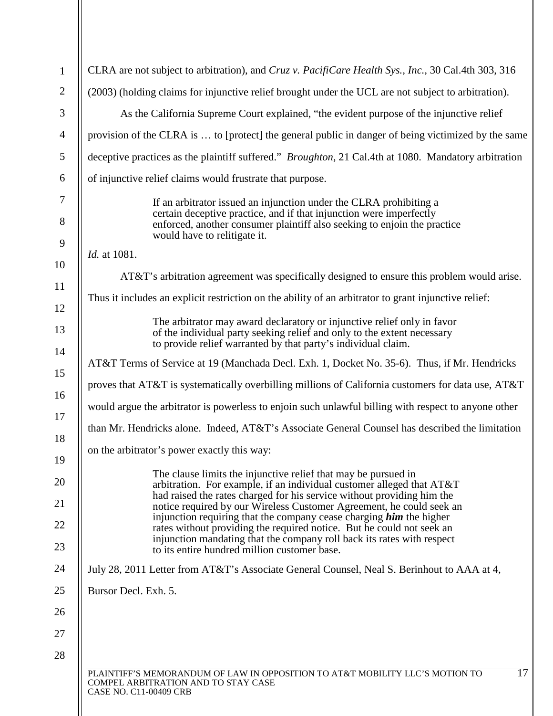| 1              | CLRA are not subject to arbitration), and Cruz v. PacifiCare Health Sys., Inc., 30 Cal.4th 303, 316                                                                                                                                                                                       |
|----------------|-------------------------------------------------------------------------------------------------------------------------------------------------------------------------------------------------------------------------------------------------------------------------------------------|
| $\overline{2}$ | (2003) (holding claims for injunctive relief brought under the UCL are not subject to arbitration).                                                                                                                                                                                       |
| 3              | As the California Supreme Court explained, "the evident purpose of the injunctive relief                                                                                                                                                                                                  |
| $\overline{4}$ | provision of the CLRA is  to [protect] the general public in danger of being victimized by the same                                                                                                                                                                                       |
| 5              | deceptive practices as the plaintiff suffered." <i>Broughton</i> , 21 Cal.4th at 1080. Mandatory arbitration                                                                                                                                                                              |
| 6              | of injunctive relief claims would frustrate that purpose.                                                                                                                                                                                                                                 |
| 7<br>8         | If an arbitrator issued an injunction under the CLRA prohibiting a<br>certain deceptive practice, and if that injunction were imperfectly<br>enforced, another consumer plaintiff also seeking to enjoin the practice                                                                     |
| 9              | would have to relitigate it.                                                                                                                                                                                                                                                              |
| 10             | <i>Id.</i> at 1081.                                                                                                                                                                                                                                                                       |
| 11             | AT&T's arbitration agreement was specifically designed to ensure this problem would arise.                                                                                                                                                                                                |
| 12             | Thus it includes an explicit restriction on the ability of an arbitrator to grant injunctive relief:                                                                                                                                                                                      |
| 13             | The arbitrator may award declaratory or injunctive relief only in favor<br>of the individual party seeking relief and only to the extent necessary<br>to provide relief warranted by that party's individual claim.                                                                       |
| 14             | AT&T Terms of Service at 19 (Manchada Decl. Exh. 1, Docket No. 35-6). Thus, if Mr. Hendricks                                                                                                                                                                                              |
| 15             | proves that AT&T is systematically overbilling millions of California customers for data use, AT&T                                                                                                                                                                                        |
| 16<br>17       | would argue the arbitrator is powerless to enjoin such unlawful billing with respect to anyone other                                                                                                                                                                                      |
| 18             | than Mr. Hendricks alone. Indeed, AT&T's Associate General Counsel has described the limitation                                                                                                                                                                                           |
| 19             | on the arbitrator's power exactly this way:                                                                                                                                                                                                                                               |
| 20<br>21       | The clause limits the injunctive relief that may be pursued in<br>arbitration. For example, if an individual customer alleged that AT&T<br>had raised the rates charged for his service without providing him the<br>notice required by our Wireless Customer Agreement, he could seek an |
| 22<br>23       | injunction requiring that the company cease charging <i>him</i> the higher<br>rates without providing the required notice. But he could not seek an<br>injunction mandating that the company roll back its rates with respect<br>to its entire hundred million customer base.             |
| 24             | July 28, 2011 Letter from AT&T's Associate General Counsel, Neal S. Berinhout to AAA at 4,                                                                                                                                                                                                |
| 25             | Bursor Decl. Exh. 5.                                                                                                                                                                                                                                                                      |
| 26             |                                                                                                                                                                                                                                                                                           |
| 27             |                                                                                                                                                                                                                                                                                           |
| 28             |                                                                                                                                                                                                                                                                                           |
|                | 17<br>PLAINTIFF'S MEMORANDUM OF LAW IN OPPOSITION TO AT&T MOBILITY LLC'S MOTION TO<br>COMPEL ARBITRATION AND TO STAY CASE<br>CASE NO. C11-00409 CRB                                                                                                                                       |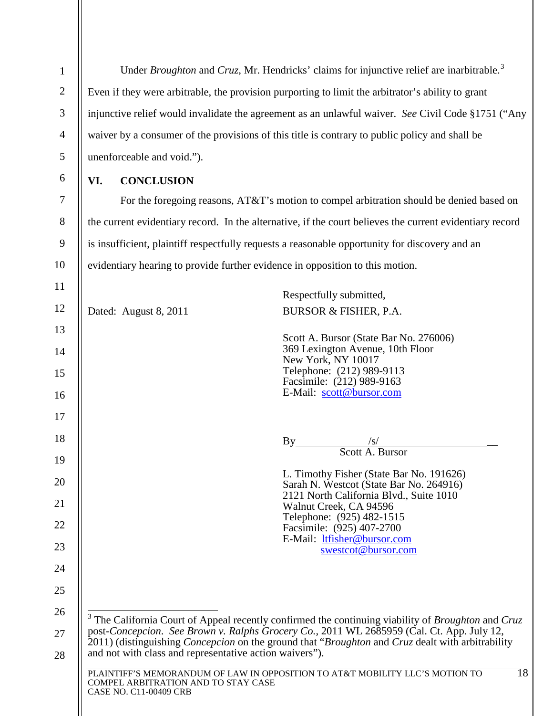<span id="page-23-1"></span><span id="page-23-0"></span>

| $\mathbf{1}$   | Under Broughton and Cruz, Mr. Hendricks' claims for injunctive relief are inarbitrable. <sup>3</sup>                                                       |                                                                                          |                                                                                                                                                                                                          |  |  |
|----------------|------------------------------------------------------------------------------------------------------------------------------------------------------------|------------------------------------------------------------------------------------------|----------------------------------------------------------------------------------------------------------------------------------------------------------------------------------------------------------|--|--|
| $\overline{2}$ | Even if they were arbitrable, the provision purporting to limit the arbitrator's ability to grant                                                          |                                                                                          |                                                                                                                                                                                                          |  |  |
| 3              | injunctive relief would invalidate the agreement as an unlawful waiver. See Civil Code §1751 ("Any                                                         |                                                                                          |                                                                                                                                                                                                          |  |  |
| 4              |                                                                                                                                                            |                                                                                          | waiver by a consumer of the provisions of this title is contrary to public policy and shall be                                                                                                           |  |  |
| 5              |                                                                                                                                                            | unenforceable and void.").                                                               |                                                                                                                                                                                                          |  |  |
| 6              | VI.<br><b>CONCLUSION</b>                                                                                                                                   |                                                                                          |                                                                                                                                                                                                          |  |  |
| 7              |                                                                                                                                                            | For the foregoing reasons, AT&T's motion to compel arbitration should be denied based on |                                                                                                                                                                                                          |  |  |
| 8              |                                                                                                                                                            |                                                                                          | the current evidentiary record. In the alternative, if the court believes the current evidentiary record                                                                                                 |  |  |
| 9              |                                                                                                                                                            |                                                                                          | is insufficient, plaintiff respectfully requests a reasonable opportunity for discovery and an                                                                                                           |  |  |
| 10             |                                                                                                                                                            | evidentiary hearing to provide further evidence in opposition to this motion.            |                                                                                                                                                                                                          |  |  |
| 11             |                                                                                                                                                            |                                                                                          | Respectfully submitted,                                                                                                                                                                                  |  |  |
| 12             |                                                                                                                                                            | Dated: August 8, 2011                                                                    | BURSOR & FISHER, P.A.                                                                                                                                                                                    |  |  |
| 13             |                                                                                                                                                            |                                                                                          | Scott A. Bursor (State Bar No. 276006)                                                                                                                                                                   |  |  |
| 14             |                                                                                                                                                            |                                                                                          | 369 Lexington Avenue, 10th Floor<br>New York, NY 10017                                                                                                                                                   |  |  |
| 15             |                                                                                                                                                            |                                                                                          | Telephone: (212) 989-9113<br>Facsimile: (212) 989-9163                                                                                                                                                   |  |  |
| 16             |                                                                                                                                                            |                                                                                          | E-Mail: scott@bursor.com                                                                                                                                                                                 |  |  |
| 17             |                                                                                                                                                            |                                                                                          |                                                                                                                                                                                                          |  |  |
| 18             |                                                                                                                                                            |                                                                                          | By                                                                                                                                                                                                       |  |  |
| 19             |                                                                                                                                                            |                                                                                          | Scott A. Bursor                                                                                                                                                                                          |  |  |
| 20             |                                                                                                                                                            |                                                                                          | L. Timothy Fisher (State Bar No. 191626)<br>Sarah N. Westcot (State Bar No. 264916)                                                                                                                      |  |  |
| 21             |                                                                                                                                                            |                                                                                          | 2121 North California Blvd., Suite 1010<br>Walnut Creek, CA 94596                                                                                                                                        |  |  |
| 22             |                                                                                                                                                            |                                                                                          | Telephone: (925) 482-1515<br>Facsimile: (925) 407-2700                                                                                                                                                   |  |  |
| 23             |                                                                                                                                                            |                                                                                          | E-Mail: ltfisher@bursor.com<br>swestcot@bursor.com                                                                                                                                                       |  |  |
| 24             |                                                                                                                                                            |                                                                                          |                                                                                                                                                                                                          |  |  |
| 25             |                                                                                                                                                            |                                                                                          |                                                                                                                                                                                                          |  |  |
| 26             |                                                                                                                                                            |                                                                                          |                                                                                                                                                                                                          |  |  |
| 27             |                                                                                                                                                            |                                                                                          | $3$ The California Court of Appeal recently confirmed the continuing viability of <i>Broughton</i> and Cruz<br>post-Concepcion. See Brown v. Ralphs Grocery Co., 2011 WL 2685959 (Cal. Ct. App. July 12, |  |  |
| 28             |                                                                                                                                                            | and not with class and representative action waivers").                                  | 2011) (distinguishing <i>Concepcion</i> on the ground that " <i>Broughton</i> and <i>Cruz</i> dealt with arbitrability                                                                                   |  |  |
|                | 18<br>PLAINTIFF'S MEMORANDUM OF LAW IN OPPOSITION TO AT&T MOBILITY LLC'S MOTION TO<br>COMPEL ARBITRATION AND TO STAY CASE<br><b>CASE NO. C11-00409 CRB</b> |                                                                                          |                                                                                                                                                                                                          |  |  |